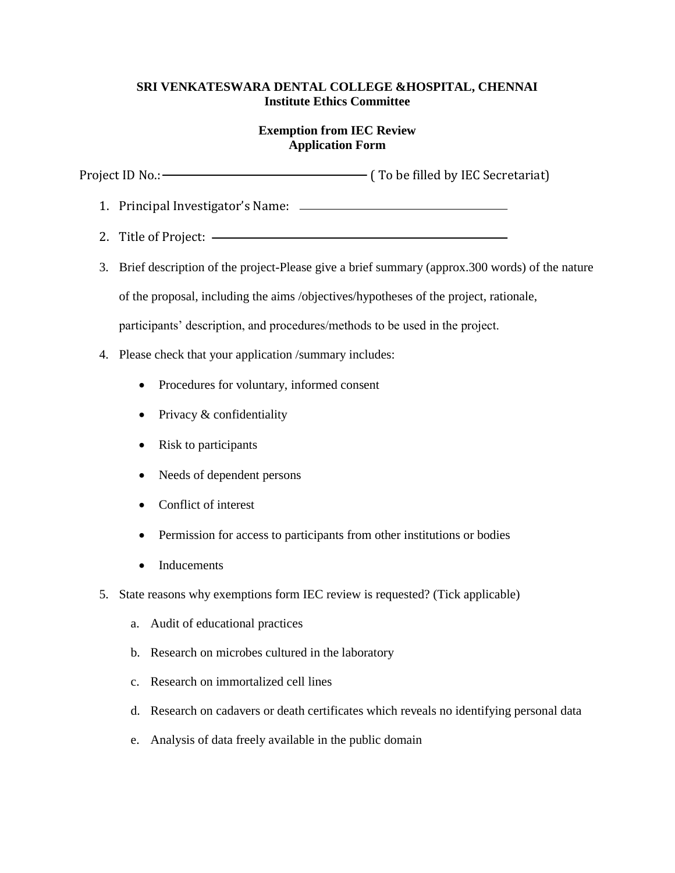## **SRI VENKATESWARA DENTAL COLLEGE &HOSPITAL, CHENNAI Institute Ethics Committee**

## **Exemption from IEC Review Application Form**

Project ID No.: (To be filled by IEC Secretariat)

- 1. Principal Investigator's Name:
- 2. Title of Project:
- 3. Brief description of the project-Please give a brief summary (approx.300 words) of the nature of the proposal, including the aims /objectives/hypotheses of the project, rationale, participants' description, and procedures/methods to be used in the project.
- 4. Please check that your application /summary includes:
	- Procedures for voluntary, informed consent
	- $\bullet$  Privacy & confidentiality
	- Risk to participants
	- Needs of dependent persons
	- Conflict of interest
	- Permission for access to participants from other institutions or bodies
	- Inducements
- 5. State reasons why exemptions form IEC review is requested? (Tick applicable)
	- a. Audit of educational practices
	- b. Research on microbes cultured in the laboratory
	- c. Research on immortalized cell lines
	- d. Research on cadavers or death certificates which reveals no identifying personal data
	- e. Analysis of data freely available in the public domain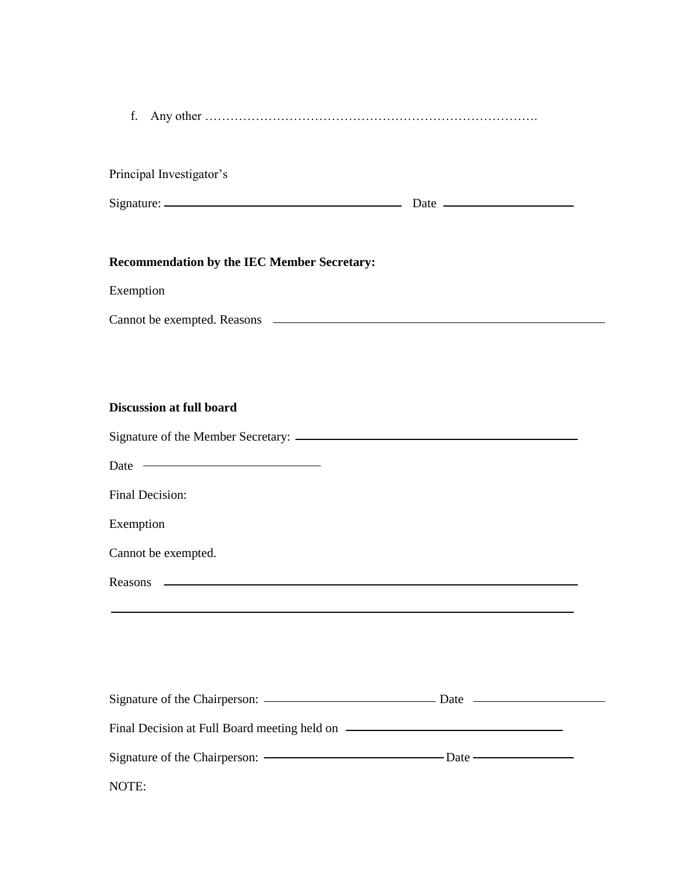| f.                                                                                                                               |  |
|----------------------------------------------------------------------------------------------------------------------------------|--|
| Principal Investigator's                                                                                                         |  |
|                                                                                                                                  |  |
| <b>Recommendation by the IEC Member Secretary:</b>                                                                               |  |
| Exemption                                                                                                                        |  |
|                                                                                                                                  |  |
|                                                                                                                                  |  |
| <b>Discussion at full board</b>                                                                                                  |  |
|                                                                                                                                  |  |
| Date <u>experience</u>                                                                                                           |  |
| Final Decision:                                                                                                                  |  |
| Exemption                                                                                                                        |  |
| Cannot be exempted.                                                                                                              |  |
| Reasons<br><u> 1989 - Johann Harry Harry Harry Harry Harry Harry Harry Harry Harry Harry Harry Harry Harry Harry Harry Harry</u> |  |
|                                                                                                                                  |  |
|                                                                                                                                  |  |
|                                                                                                                                  |  |
|                                                                                                                                  |  |
|                                                                                                                                  |  |
| Signature of the Chairperson: ——————————————————Date ————————————————————                                                        |  |
| NOTE:                                                                                                                            |  |